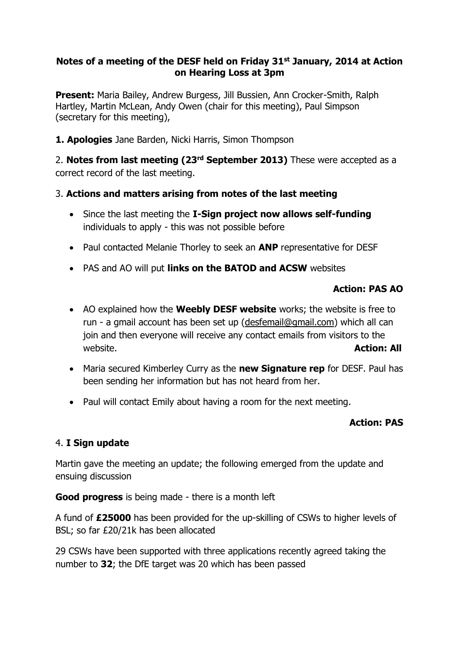## **Notes of a meeting of the DESF held on Friday 31st January, 2014 at Action on Hearing Loss at 3pm**

**Present:** Maria Bailey, Andrew Burgess, Jill Bussien, Ann Crocker-Smith, Ralph Hartley, Martin McLean, Andy Owen (chair for this meeting), Paul Simpson (secretary for this meeting),

**1. Apologies** Jane Barden, Nicki Harris, Simon Thompson

2. **Notes from last meeting (23rd September 2013)** These were accepted as a correct record of the last meeting.

# 3. **Actions and matters arising from notes of the last meeting**

- Since the last meeting the **I-Sign project now allows self-funding** individuals to apply - this was not possible before
- Paul contacted Melanie Thorley to seek an **ANP** representative for DESF
- PAS and AO will put **links on the BATOD and ACSW** websites

# **Action: PAS AO**

- AO explained how the **Weebly DESF website** works; the website is free to run - a gmail account has been set up [\(desfemail@gmail.com\)](mailto:desfemail@gmail.com) which all can join and then everyone will receive any contact emails from visitors to the website. **Action: All**
- Maria secured Kimberley Curry as the **new Signature rep** for DESF. Paul has been sending her information but has not heard from her.
- Paul will contact Emily about having a room for the next meeting.

### **Action: PAS**

### 4. **I Sign update**

Martin gave the meeting an update; the following emerged from the update and ensuing discussion

**Good progress** is being made - there is a month left

A fund of **£25000** has been provided for the up-skilling of CSWs to higher levels of BSL; so far £20/21k has been allocated

29 CSWs have been supported with three applications recently agreed taking the number to **32**; the DfE target was 20 which has been passed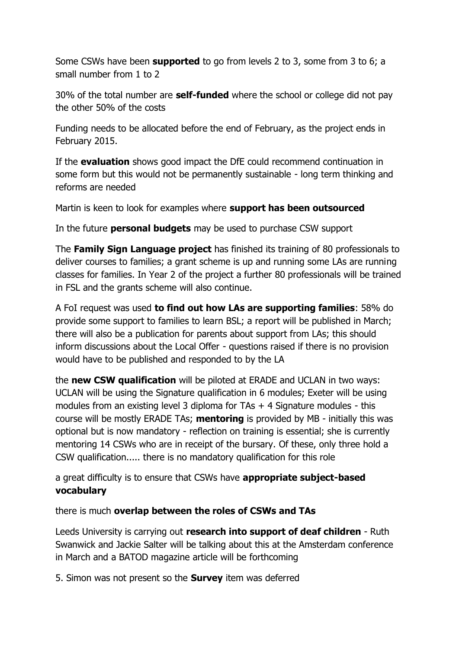Some CSWs have been **supported** to go from levels 2 to 3, some from 3 to 6; a small number from 1 to 2

30% of the total number are **self-funded** where the school or college did not pay the other 50% of the costs

Funding needs to be allocated before the end of February, as the project ends in February 2015.

If the **evaluation** shows good impact the DfE could recommend continuation in some form but this would not be permanently sustainable - long term thinking and reforms are needed

Martin is keen to look for examples where **support has been outsourced**

In the future **personal budgets** may be used to purchase CSW support

The **Family Sign Language project** has finished its training of 80 professionals to deliver courses to families; a grant scheme is up and running some LAs are running classes for families. In Year 2 of the project a further 80 professionals will be trained in FSL and the grants scheme will also continue.

A FoI request was used **to find out how LAs are supporting families**: 58% do provide some support to families to learn BSL; a report will be published in March; there will also be a publication for parents about support from LAs; this should inform discussions about the Local Offer - questions raised if there is no provision would have to be published and responded to by the LA

the **new CSW qualification** will be piloted at ERADE and UCLAN in two ways: UCLAN will be using the Signature qualification in 6 modules; Exeter will be using modules from an existing level 3 diploma for  $TAs + 4$  Signature modules - this course will be mostly ERADE TAs; **mentoring** is provided by MB - initially this was optional but is now mandatory - reflection on training is essential; she is currently mentoring 14 CSWs who are in receipt of the bursary. Of these, only three hold a CSW qualification..... there is no mandatory qualification for this role

a great difficulty is to ensure that CSWs have **appropriate subject-based vocabulary**

there is much **overlap between the roles of CSWs and TAs**

Leeds University is carrying out **research into support of deaf children** - Ruth Swanwick and Jackie Salter will be talking about this at the Amsterdam conference in March and a BATOD magazine article will be forthcoming

5. Simon was not present so the **Survey** item was deferred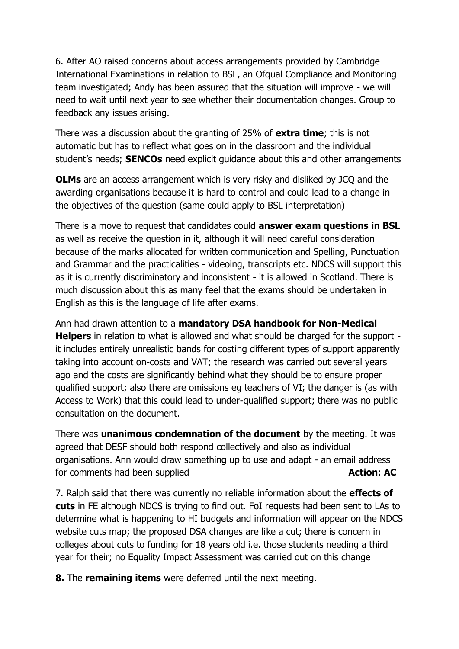6. After AO raised concerns about access arrangements provided by Cambridge International Examinations in relation to BSL, an Ofqual Compliance and Monitoring team investigated; Andy has been assured that the situation will improve - we will need to wait until next year to see whether their documentation changes. Group to feedback any issues arising.

There was a discussion about the granting of 25% of **extra time**; this is not automatic but has to reflect what goes on in the classroom and the individual student's needs; **SENCOs** need explicit guidance about this and other arrangements

**OLMs** are an access arrangement which is very risky and disliked by JCQ and the awarding organisations because it is hard to control and could lead to a change in the objectives of the question (same could apply to BSL interpretation)

There is a move to request that candidates could **answer exam questions in BSL** as well as receive the question in it, although it will need careful consideration because of the marks allocated for written communication and Spelling, Punctuation and Grammar and the practicalities - videoing, transcripts etc. NDCS will support this as it is currently discriminatory and inconsistent - it is allowed in Scotland. There is much discussion about this as many feel that the exams should be undertaken in English as this is the language of life after exams.

Ann had drawn attention to a **mandatory DSA handbook for Non-Medical Helpers** in relation to what is allowed and what should be charged for the support it includes entirely unrealistic bands for costing different types of support apparently taking into account on-costs and VAT; the research was carried out several years ago and the costs are significantly behind what they should be to ensure proper qualified support; also there are omissions eg teachers of VI; the danger is (as with Access to Work) that this could lead to under-qualified support; there was no public consultation on the document.

There was **unanimous condemnation of the document** by the meeting. It was agreed that DESF should both respond collectively and also as individual organisations. Ann would draw something up to use and adapt - an email address for comments had been supplied **Action: AC Action: AC** 

7. Ralph said that there was currently no reliable information about the **effects of cuts** in FE although NDCS is trying to find out. FoI requests had been sent to LAs to determine what is happening to HI budgets and information will appear on the NDCS website cuts map; the proposed DSA changes are like a cut; there is concern in colleges about cuts to funding for 18 years old i.e. those students needing a third year for their; no Equality Impact Assessment was carried out on this change

**8.** The **remaining items** were deferred until the next meeting.